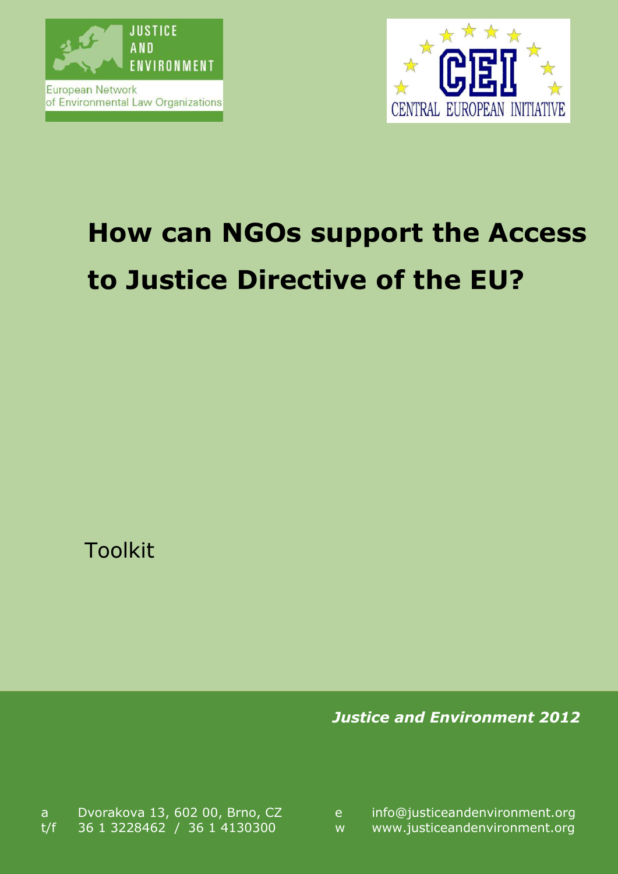



# **How can NGOs support the Access to Justice Directive of the EU?**

Toolkit

*Justice and Environment 2012*

a Dvorakova 13, 602 00, Brno, CZ e t/f 36 1 3228462 / 36 1 4130300 w www.justiceandenvironment.org

info@justiceandenvironment.org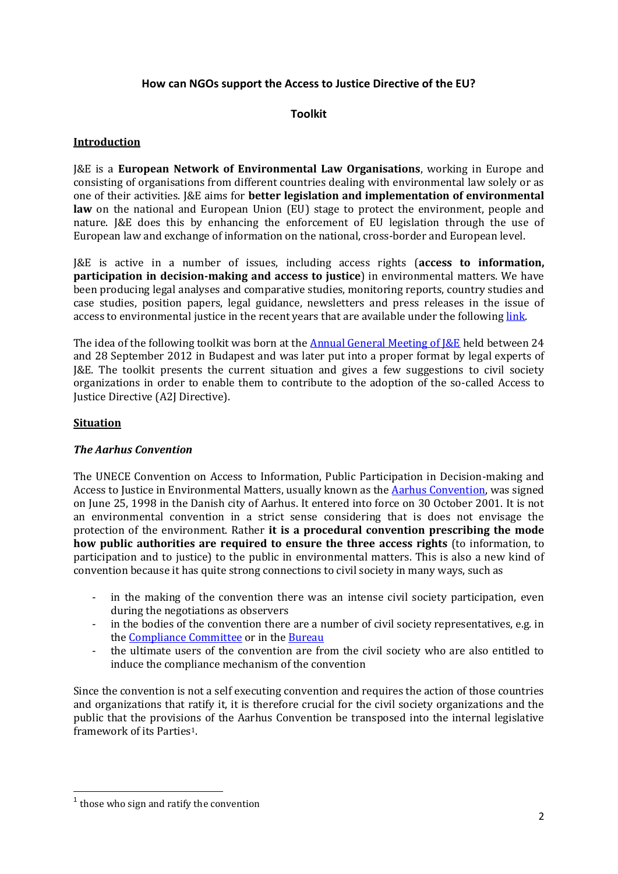## **How can NGOs support the Access to Justice Directive of the EU?**

## **Toolkit**

## **Introduction**

J&E is a **European Network of Environmental Law Organisations**, working in Europe and consisting of organisations from different countries dealing with environmental law solely or as one of their activities. J&E aims for **better legislation and implementation of environmental law** on the national and European Union (EU) stage to protect the environment, people and nature. J&E does this by enhancing the enforcement of EU legislation through the use of European law and exchange of information on the national, cross-border and European level.

J&E is active in a number of issues, including access rights (**access to information, participation in decision-making and access to justice**) in environmental matters. We have been producing legal analyses and comparative studies, monitoring reports, country studies and case studies, position papers, legal guidance, newsletters and press releases in the issue of access to environmental justice in the recent years that are available under the following link.

The idea of the following toolkit was born at the Annual General Meeting of J&E held between 24 and 28 September 2012 in Budapest and was later put into a proper format by legal experts of J&E. The toolkit presents the current situation and gives a few suggestions to civil society organizations in order to enable them to contribute to the adoption of the so-called Access to Justice Directive (A2J Directive).

#### **Situation**

## *The Aarhus Convention*

The UNECE Convention on Access to Information, Public Participation in Decision-making and Access to Justice in Environmental Matters, usually known as the Aarhus Convention, was signed on June 25, 1998 in the Danish city of Aarhus. It entered into force on 30 October 2001. It is not an environmental convention in a strict sense considering that is does not envisage the protection of the environment. Rather **it is a procedural convention prescribing the mode how public authorities are required to ensure the three access rights** (to information, to participation and to justice) to the public in environmental matters. This is also a new kind of convention because it has quite strong connections to civil society in many ways, such as

- in the making of the convention there was an intense civil society participation, even during the negotiations as observers
- in the bodies of the convention there are a number of civil society representatives, e.g. in the Compliance Committee or in the Bureau
- the ultimate users of the convention are from the civil society who are also entitled to induce the compliance mechanism of the convention

Since the convention is not a self executing convention and requires the action of those countries and organizations that ratify it, it is therefore crucial for the civil society organizations and the public that the provisions of the Aarhus Convention be transposed into the internal legislative framework of its Parties1.

**.** 

<sup>&</sup>lt;sup>1</sup> those who sign and ratify the convention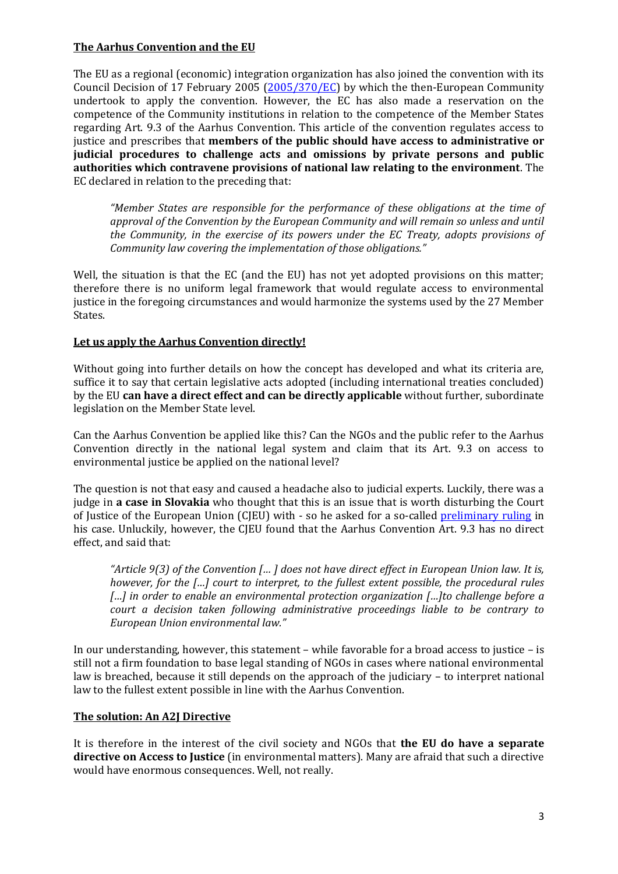## **The Aarhus Convention and the EU**

The EU as a regional (economic) integration organization has also joined the convention with its Council Decision of 17 February 2005 (2005/370/EC) by which the then-European Community undertook to apply the convention. However, the EC has also made a reservation on the competence of the Community institutions in relation to the competence of the Member States regarding Art. 9.3 of the Aarhus Convention. This article of the convention regulates access to justice and prescribes that **members of the public should have access to administrative or judicial procedures to challenge acts and omissions by private persons and public authorities which contravene provisions of national law relating to the environment**. The EC declared in relation to the preceding that:

*"Member States are responsible for the performance of these obligations at the time of approval of the Convention by the European Community and will remain so unless and until the Community, in the exercise of its powers under the EC Treaty, adopts provisions of Community law covering the implementation of those obligations."*

Well, the situation is that the EC (and the EU) has not yet adopted provisions on this matter; therefore there is no uniform legal framework that would regulate access to environmental justice in the foregoing circumstances and would harmonize the systems used by the 27 Member States.

## **Let us apply the Aarhus Convention directly!**

Without going into further details on how the concept has developed and what its criteria are, suffice it to say that certain legislative acts adopted (including international treaties concluded) by the EU **can have a direct effect and can be directly applicable** without further, subordinate legislation on the Member State level.

Can the Aarhus Convention be applied like this? Can the NGOs and the public refer to the Aarhus Convention directly in the national legal system and claim that its Art. 9.3 on access to environmental justice be applied on the national level?

The question is not that easy and caused a headache also to judicial experts. Luckily, there was a judge in **a case in Slovakia** who thought that this is an issue that is worth disturbing the Court of Justice of the European Union (CJEU) with - so he asked for a so-called preliminary ruling in his case. Unluckily, however, the CJEU found that the Aarhus Convention Art. 9.3 has no direct effect, and said that:

*"Article 9(3) of the Convention [… ] does not have direct effect in European Union law. It is, however, for the […] court to interpret, to the fullest extent possible, the procedural rules […] in order to enable an environmental protection organization […]to challenge before a court a decision taken following administrative proceedings liable to be contrary to European Union environmental law."*

In our understanding, however, this statement – while favorable for a broad access to justice – is still not a firm foundation to base legal standing of NGOs in cases where national environmental law is breached, because it still depends on the approach of the judiciary – to interpret national law to the fullest extent possible in line with the Aarhus Convention.

## **The solution: An A2J Directive**

It is therefore in the interest of the civil society and NGOs that **the EU do have a separate directive on Access to Justice** (in environmental matters). Many are afraid that such a directive would have enormous consequences. Well, not really.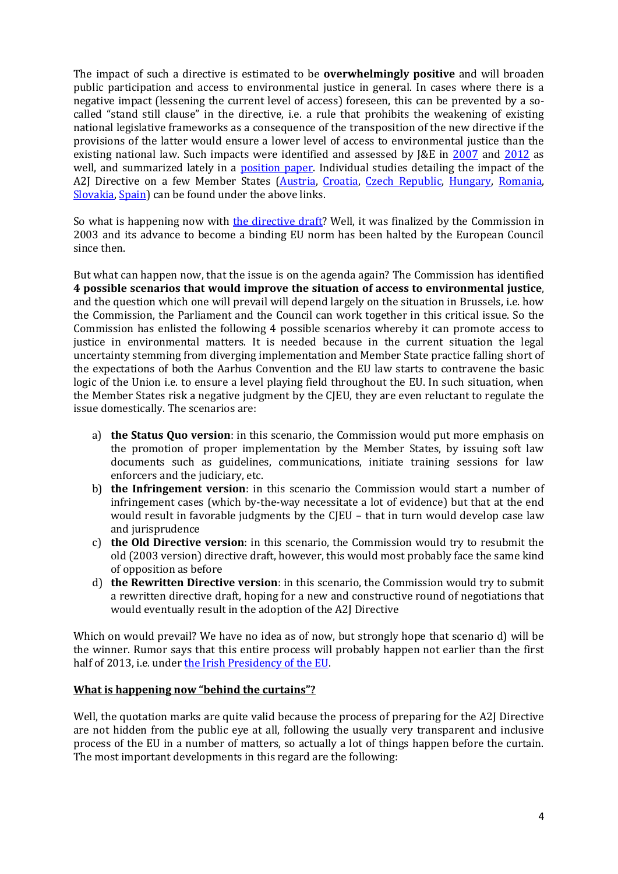The impact of such a directive is estimated to be **overwhelmingly positive** and will broaden public participation and access to environmental justice in general. In cases where there is a negative impact (lessening the current level of access) foreseen, this can be prevented by a socalled "stand still clause" in the directive, i.e. a rule that prohibits the weakening of existing national legislative frameworks as a consequence of the transposition of the new directive if the provisions of the latter would ensure a lower level of access to environmental justice than the existing national law. Such impacts were identified and assessed by J&E in 2007 and 2012 as well, and summarized lately in a position paper. Individual studies detailing the impact of the A2J Directive on a few Member States (Austria, Croatia, Czech Republic, Hungary, Romania, Slovakia, Spain) can be found under the above links.

So what is happening now with the directive draft? Well, it was finalized by the Commission in 2003 and its advance to become a binding EU norm has been halted by the European Council since then.

But what can happen now, that the issue is on the agenda again? The Commission has identified **4 possible scenarios that would improve the situation of access to environmental justice**, and the question which one will prevail will depend largely on the situation in Brussels, i.e. how the Commission, the Parliament and the Council can work together in this critical issue. So the Commission has enlisted the following 4 possible scenarios whereby it can promote access to justice in environmental matters. It is needed because in the current situation the legal uncertainty stemming from diverging implementation and Member State practice falling short of the expectations of both the Aarhus Convention and the EU law starts to contravene the basic logic of the Union i.e. to ensure a level playing field throughout the EU. In such situation, when the Member States risk a negative judgment by the CJEU, they are even reluctant to regulate the issue domestically. The scenarios are:

- a) **the Status Quo version**: in this scenario, the Commission would put more emphasis on the promotion of proper implementation by the Member States, by issuing soft law documents such as guidelines, communications, initiate training sessions for law enforcers and the judiciary, etc.
- b) **the Infringement version**: in this scenario the Commission would start a number of infringement cases (which by-the-way necessitate a lot of evidence) but that at the end would result in favorable judgments by the CJEU – that in turn would develop case law and jurisprudence
- c) **the Old Directive version**: in this scenario, the Commission would try to resubmit the old (2003 version) directive draft, however, this would most probably face the same kind of opposition as before
- d) **the Rewritten Directive version**: in this scenario, the Commission would try to submit a rewritten directive draft, hoping for a new and constructive round of negotiations that would eventually result in the adoption of the A2J Directive

Which on would prevail? We have no idea as of now, but strongly hope that scenario d) will be the winner. Rumor says that this entire process will probably happen not earlier than the first half of 2013, i.e. under the Irish Presidency of the EU.

## **What is happening now "behind the curtains"?**

Well, the quotation marks are quite valid because the process of preparing for the A2J Directive are not hidden from the public eye at all, following the usually very transparent and inclusive process of the EU in a number of matters, so actually a lot of things happen before the curtain. The most important developments in this regard are the following: